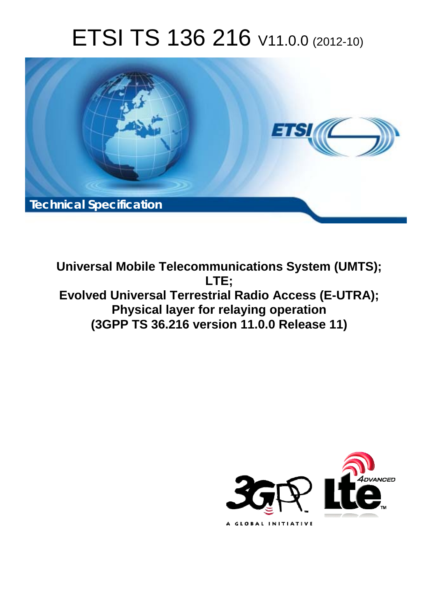# ETSI TS 136 216 V11.0.0 (2012-10)



**Universal Mobile Telecommunications System (UMTS); LTE; Evolved Universal Terrestrial Radio Access (E-UTRA); Physical layer for relaying operation (3GPP TS 36.216 version 11.0.0 Release 11)** 

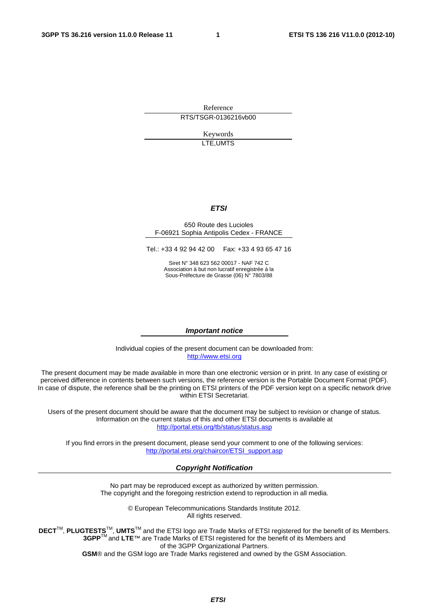Reference RTS/TSGR-0136216vb00

> Keywords LTE,UMTS

#### *ETSI*

#### 650 Route des Lucioles F-06921 Sophia Antipolis Cedex - FRANCE

Tel.: +33 4 92 94 42 00 Fax: +33 4 93 65 47 16

Siret N° 348 623 562 00017 - NAF 742 C Association à but non lucratif enregistrée à la Sous-Préfecture de Grasse (06) N° 7803/88

#### *Important notice*

Individual copies of the present document can be downloaded from: [http://www.etsi.org](http://www.etsi.org/)

The present document may be made available in more than one electronic version or in print. In any case of existing or perceived difference in contents between such versions, the reference version is the Portable Document Format (PDF). In case of dispute, the reference shall be the printing on ETSI printers of the PDF version kept on a specific network drive within ETSI Secretariat.

Users of the present document should be aware that the document may be subject to revision or change of status. Information on the current status of this and other ETSI documents is available at <http://portal.etsi.org/tb/status/status.asp>

If you find errors in the present document, please send your comment to one of the following services: [http://portal.etsi.org/chaircor/ETSI\\_support.asp](http://portal.etsi.org/chaircor/ETSI_support.asp)

#### *Copyright Notification*

No part may be reproduced except as authorized by written permission. The copyright and the foregoing restriction extend to reproduction in all media.

> © European Telecommunications Standards Institute 2012. All rights reserved.

DECT<sup>™</sup>, PLUGTESTS<sup>™</sup>, UMTS<sup>™</sup> and the ETSI logo are Trade Marks of ETSI registered for the benefit of its Members. **3GPP**TM and **LTE**™ are Trade Marks of ETSI registered for the benefit of its Members and of the 3GPP Organizational Partners.

**GSM**® and the GSM logo are Trade Marks registered and owned by the GSM Association.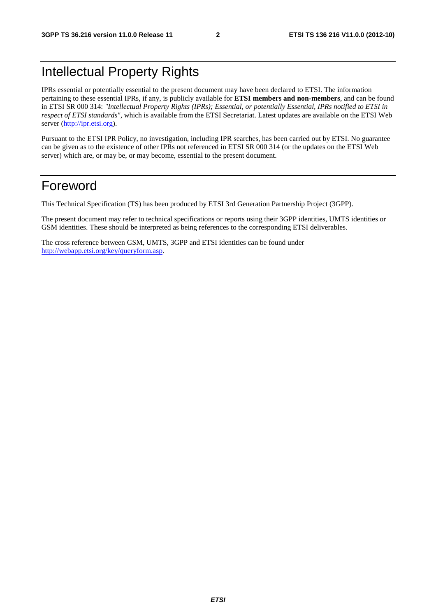# Intellectual Property Rights

IPRs essential or potentially essential to the present document may have been declared to ETSI. The information pertaining to these essential IPRs, if any, is publicly available for **ETSI members and non-members**, and can be found in ETSI SR 000 314: *"Intellectual Property Rights (IPRs); Essential, or potentially Essential, IPRs notified to ETSI in respect of ETSI standards"*, which is available from the ETSI Secretariat. Latest updates are available on the ETSI Web server ([http://ipr.etsi.org\)](http://webapp.etsi.org/IPR/home.asp).

Pursuant to the ETSI IPR Policy, no investigation, including IPR searches, has been carried out by ETSI. No guarantee can be given as to the existence of other IPRs not referenced in ETSI SR 000 314 (or the updates on the ETSI Web server) which are, or may be, or may become, essential to the present document.

### Foreword

This Technical Specification (TS) has been produced by ETSI 3rd Generation Partnership Project (3GPP).

The present document may refer to technical specifications or reports using their 3GPP identities, UMTS identities or GSM identities. These should be interpreted as being references to the corresponding ETSI deliverables.

The cross reference between GSM, UMTS, 3GPP and ETSI identities can be found under [http://webapp.etsi.org/key/queryform.asp.](http://webapp.etsi.org/key/queryform.asp)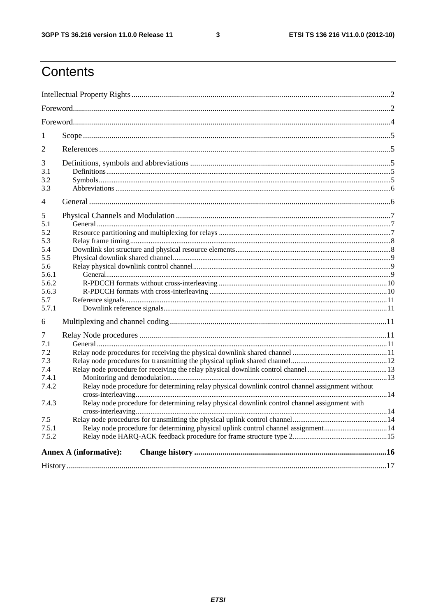$\mathbf{3}$ 

# Contents

| 1              |                                                                                                 |  |
|----------------|-------------------------------------------------------------------------------------------------|--|
| $\mathfrak{2}$ |                                                                                                 |  |
| 3              |                                                                                                 |  |
| 3.1            |                                                                                                 |  |
| 3.2            |                                                                                                 |  |
| 3.3            |                                                                                                 |  |
| 4              |                                                                                                 |  |
| 5              |                                                                                                 |  |
| 5.1            |                                                                                                 |  |
| 5.2            |                                                                                                 |  |
| 5.3            |                                                                                                 |  |
| 5.4            |                                                                                                 |  |
| 5.5            |                                                                                                 |  |
| 5.6            |                                                                                                 |  |
| 5.6.1          |                                                                                                 |  |
| 5.6.2          |                                                                                                 |  |
| 5.6.3          |                                                                                                 |  |
| 5.7            |                                                                                                 |  |
| 5.7.1          |                                                                                                 |  |
| 6              |                                                                                                 |  |
| 7              |                                                                                                 |  |
| 7.1            |                                                                                                 |  |
| 7.2            |                                                                                                 |  |
| 7.3            |                                                                                                 |  |
| 7.4            |                                                                                                 |  |
| 7.4.1          |                                                                                                 |  |
| 7.4.2          | Relay node procedure for determining relay physical downlink control channel assignment without |  |
|                |                                                                                                 |  |
| 7.4.3          | Relay node procedure for determining relay physical downlink control channel assignment with    |  |
| 7.5            |                                                                                                 |  |
| 7.5.1          | Relay node procedure for determining physical uplink control channel assignment14               |  |
| 7.5.2          |                                                                                                 |  |
|                |                                                                                                 |  |
|                | <b>Annex A (informative):</b>                                                                   |  |
|                |                                                                                                 |  |
|                |                                                                                                 |  |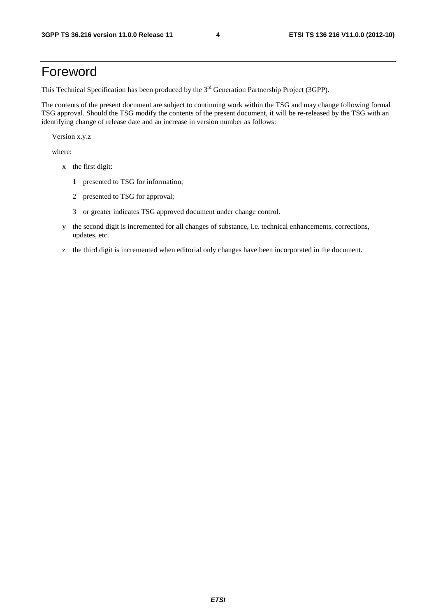### Foreword

This Technical Specification has been produced by the 3<sup>rd</sup> Generation Partnership Project (3GPP).

The contents of the present document are subject to continuing work within the TSG and may change following formal TSG approval. Should the TSG modify the contents of the present document, it will be re-released by the TSG with an identifying change of release date and an increase in version number as follows:

Version x.y.z

where:

- x the first digit:
	- 1 presented to TSG for information;
	- 2 presented to TSG for approval;
	- 3 or greater indicates TSG approved document under change control.
- y the second digit is incremented for all changes of substance, i.e. technical enhancements, corrections, updates, etc.
- z the third digit is incremented when editorial only changes have been incorporated in the document.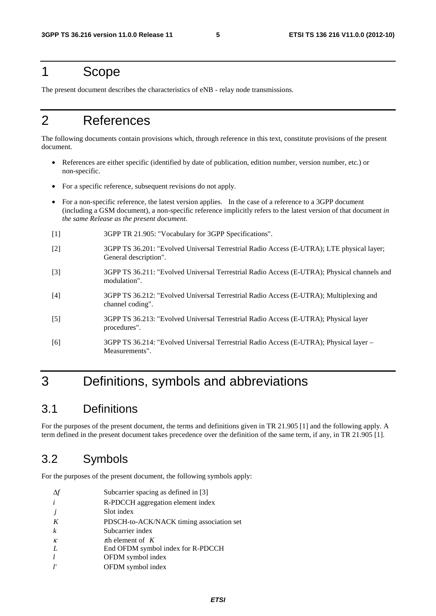#### 1 Scope

The present document describes the characteristics of eNB - relay node transmissions.

# 2 References

The following documents contain provisions which, through reference in this text, constitute provisions of the present document.

- References are either specific (identified by date of publication, edition number, version number, etc.) or non-specific.
- For a specific reference, subsequent revisions do not apply.
- For a non-specific reference, the latest version applies. In the case of a reference to a 3GPP document (including a GSM document), a non-specific reference implicitly refers to the latest version of that document *in the same Release as the present document*.
- [1] 3GPP TR 21.905: "Vocabulary for 3GPP Specifications".
- [2] 3GPP TS 36.201: "Evolved Universal Terrestrial Radio Access (E-UTRA); LTE physical layer; General description".
- [3] 3GPP TS 36.211: "Evolved Universal Terrestrial Radio Access (E-UTRA); Physical channels and modulation".
- [4] 3GPP TS 36.212: "Evolved Universal Terrestrial Radio Access (E-UTRA); Multiplexing and channel coding".
- [5] 3GPP TS 36.213: "Evolved Universal Terrestrial Radio Access (E-UTRA); Physical layer procedures".
- [6] 3GPP TS 36.214: "Evolved Universal Terrestrial Radio Access (E-UTRA); Physical layer Measurements".

# 3 Definitions, symbols and abbreviations

### 3.1 Definitions

For the purposes of the present document, the terms and definitions given in TR 21.905 [1] and the following apply. A term defined in the present document takes precedence over the definition of the same term, if any, in TR 21.905 [1].

### 3.2 Symbols

For the purposes of the present document, the following symbols apply:

|                  | Subcarrier spacing as defined in [3]     |
|------------------|------------------------------------------|
| $\dot{i}$        | R-PDCCH aggregation element index        |
|                  | Slot index                               |
| K                | PDSCH-to-ACK/NACK timing association set |
| $\boldsymbol{k}$ | Subcarrier index                         |
| $\kappa$         | th element of $K$                        |
| I                | End OFDM symbol index for R-PDCCH        |
| $\iota$          | OFDM symbol index                        |
| I'               | OFDM symbol index                        |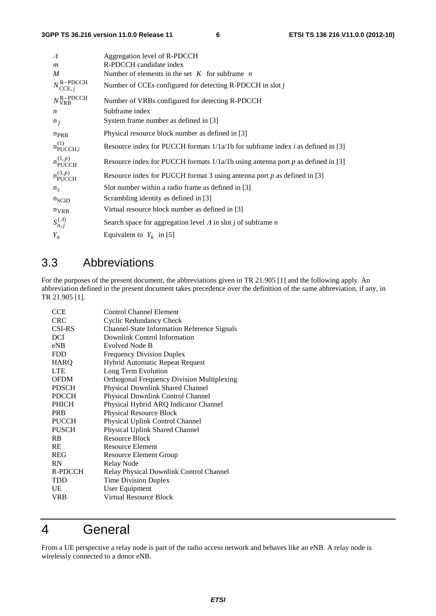| $\Lambda$                            | Aggregation level of R-PDCCH                                                             |
|--------------------------------------|------------------------------------------------------------------------------------------|
| $\boldsymbol{m}$                     | R-PDCCH candidate index                                                                  |
| M                                    | Number of elements in the set $K$ for subframe $n$                                       |
| $N_{\text{CCE}, i}^{\text{R-PDCCH}}$ | Number of CCEs configured for detecting $R$ -PDCCH in slot j                             |
| $N_{\text{VRB}}^{\text{R-PDCCH}}$    | Number of VRBs configured for detecting R-PDCCH                                          |
| $\boldsymbol{n}$                     | Subframe index                                                                           |
| $n_f$                                | System frame number as defined in [3]                                                    |
| $n_{\rm PRB}$                        | Physical resource block number as defined in [3]                                         |
| $n_{\text{PUCCH},i}^{(1)}$           | Resource index for PUCCH formats $1/1a/1b$ for subframe index <i>i</i> as defined in [3] |
| $n_{\text{PUCCH}}^{(1,p)}$           | Resource index for PUCCH formats $1/1a/1b$ using antenna port p as defined in [3]        |
| $n_{\text{PUCCH}}^{(3,p)}$           | Resource index for PUCCH format 3 using antenna port $p$ as defined in [3]               |
| $n_{\rm s}$                          | Slot number within a radio frame as defined in [3]                                       |
| $n_{\text{SCID}}$                    | Scrambling identity as defined in [3]                                                    |
| $n_{VRB}$                            | Virtual resource block number as defined in [3]                                          |
| $S_{n,j}^{(A)}$                      | Search space for aggregation level $\Lambda$ in slot j of subframe $n$                   |
| $Y_n$                                | Equivalent to $Y_k$ in [5]                                                               |

### 3.3 Abbreviations

For the purposes of the present document, the abbreviations given in TR 21.905 [1] and the following apply. An abbreviation defined in the present document takes precedence over the definition of the same abbreviation, if any, in TR 21.905 [1].

| CCE           | <b>Control Channel Element</b>                     |
|---------------|----------------------------------------------------|
| <b>CRC</b>    | <b>Cyclic Redundancy Check</b>                     |
| <b>CSI-RS</b> | <b>Channel-State Information Reference Signals</b> |
| <b>DCI</b>    | Downlink Control Information                       |
| eNB           | <b>Evolved Node B</b>                              |
| <b>FDD</b>    | <b>Frequency Division Duplex</b>                   |
| HARQ          | <b>Hybrid Automatic Repeat Request</b>             |
| <b>LTE</b>    | Long Term Evolution                                |
| <b>OFDM</b>   | <b>Orthogonal Frequency Division Multiplexing</b>  |
| <b>PDSCH</b>  | Physical Downlink Shared Channel                   |
| <b>PDCCH</b>  | Physical Downlink Control Channel                  |
| <b>PHICH</b>  | Physical Hybrid ARQ Indicator Channel              |
| <b>PRB</b>    | Physical Resource Block                            |
| PUCCH         | Physical Uplink Control Channel                    |
| <b>PUSCH</b>  | Physical Uplink Shared Channel                     |
| <b>RB</b>     | Resource Block                                     |
| <b>RE</b>     | <b>Resource Element</b>                            |
| <b>REG</b>    | Resource Element Group                             |
| <b>RN</b>     | Relay Node                                         |
| R-PDCCH       | Relay Physical Downlink Control Channel            |
| <b>TDD</b>    | Time Division Duplex                               |
| UE            | User Equipment                                     |
| <b>VRB</b>    | Virtual Resource Block                             |
|               |                                                    |

# 4 General

From a UE perspective a relay node is part of the radio access network and behaves like an eNB. A relay node is wirelessly connected to a donor eNB.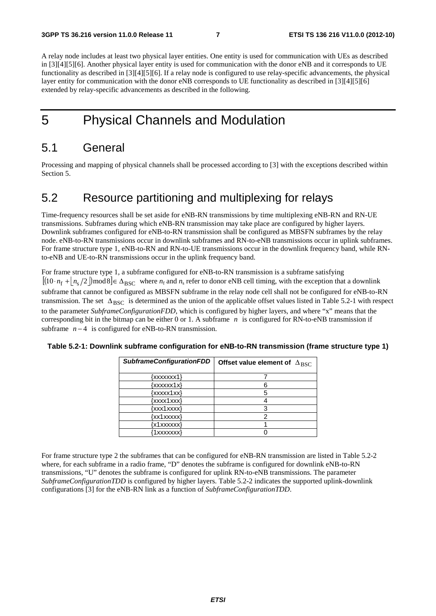A relay node includes at least two physical layer entities. One entity is used for communication with UEs as described in [3][4][5][6]. Another physical layer entity is used for communication with the donor eNB and it corresponds to UE functionality as described in [3][4][5][6]. If a relay node is configured to use relay-specific advancements, the physical layer entity for communication with the donor eNB corresponds to UE functionality as described in [3][4][5][6] extended by relay-specific advancements as described in the following.

## 5 Physical Channels and Modulation

#### 5.1 General

Processing and mapping of physical channels shall be processed according to [3] with the exceptions described within Section 5.

### 5.2 Resource partitioning and multiplexing for relays

Time-frequency resources shall be set aside for eNB-RN transmissions by time multiplexing eNB-RN and RN-UE transmissions. Subframes during which eNB-RN transmission may take place are configured by higher layers. Downlink subframes configured for eNB-to-RN transmission shall be configured as MBSFN subframes by the relay node. eNB-to-RN transmissions occur in downlink subframes and RN-to-eNB transmissions occur in uplink subframes. For frame structure type 1, eNB-to-RN and RN-to-UE transmissions occur in the downlink frequency band, while RNto-eNB and UE-to-RN transmissions occur in the uplink frequency band.

For frame structure type 1, a subframe configured for eNB-to-RN transmission is a subframe satisfying  $[(10 \cdot n_f + n_s/2)]$  mod 8  $\in \Delta_{BSC}$  where  $n_f$  and  $n_s$  refer to donor eNB cell timing, with the exception that a downlink subframe that cannot be configured as MBSFN subframe in the relay node cell shall not be configured for eNB-to-RN transmission. The set  $\Delta_{BSC}$  is determined as the union of the applicable offset values listed in Table 5.2-1 with respect to the parameter *SubframeConfigurationFDD*, which is configured by higher layers, and where "x" means that the corresponding bit in the bitmap can be either 0 or 1. A subframe *n* is configured for RN-to-eNB transmission if subframe  $n-4$  is configured for eNB-to-RN transmission.

| <b>SubframeConfigurationFDD</b> | Offset value element of $\Delta_{BSC}$ |
|---------------------------------|----------------------------------------|
| {xxxxxxx1}                      |                                        |
| $\{xxxxx1x\}$                   | 6                                      |
| {xxxxx1xx}                      |                                        |
| {xxxx1xxx}                      |                                        |
| {xxx1xxxx}                      | 3                                      |
| {xx1xxxxx}                      |                                        |
| {x1xxxxxx}                      |                                        |
| '1xxxxxxx}                      |                                        |

#### **Table 5.2-1: Downlink subframe configuration for eNB-to-RN transmission (frame structure type 1)**

For frame structure type 2 the subframes that can be configured for eNB-RN transmission are listed in Table 5.2-2 where, for each subframe in a radio frame, "D" denotes the subframe is configured for downlink eNB-to-RN transmissions, "U" denotes the subframe is configured for uplink RN-to-eNB transmissions. The parameter *SubframeConfigurationTDD* is configured by higher layers. Table 5.2-2 indicates the supported uplink-downlink configurations [3] for the eNB-RN link as a function of *SubframeConfigurationTDD*.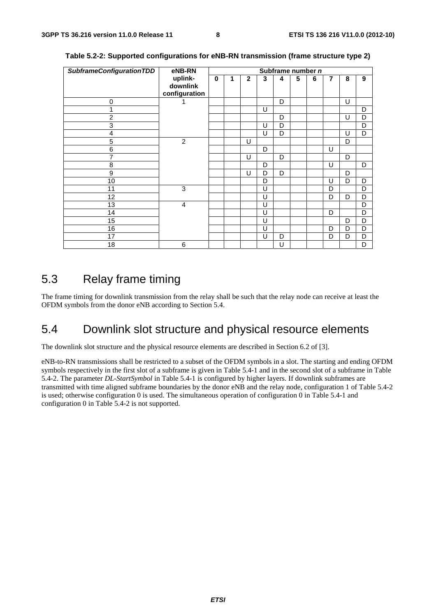| <b>SubframeConfigurationTDD</b> | eNB-RN                               | Subframe number n |   |              |   |   |   |   |                |   |   |
|---------------------------------|--------------------------------------|-------------------|---|--------------|---|---|---|---|----------------|---|---|
|                                 | uplink-<br>downlink<br>configuration | $\mathbf 0$       | 1 | $\mathbf{2}$ | 3 | 4 | 5 | 6 | $\overline{7}$ | 8 | 9 |
| 0                               |                                      |                   |   |              |   | D |   |   |                | U |   |
| 1                               |                                      |                   |   |              | U |   |   |   |                |   | D |
| $\overline{c}$                  |                                      |                   |   |              |   | D |   |   |                | U | D |
| 3                               |                                      |                   |   |              | U | D |   |   |                |   | D |
| 4                               |                                      |                   |   |              | U | D |   |   |                | U | D |
| 5                               | $\overline{2}$                       |                   |   | U            |   |   |   |   |                | D |   |
| 6                               |                                      |                   |   |              | D |   |   |   | U              |   |   |
| 7                               |                                      |                   |   | U            |   | D |   |   |                | D |   |
| 8                               |                                      |                   |   |              | D |   |   |   | U              |   | D |
| 9                               |                                      |                   |   | U            | D | D |   |   |                | D |   |
| 10                              |                                      |                   |   |              | D |   |   |   | U              | D | D |
| 11                              | 3                                    |                   |   |              | U |   |   |   | D              |   | D |
| 12                              |                                      |                   |   |              | U |   |   |   | D              | D | D |
| 13                              | $\overline{4}$                       |                   |   |              | U |   |   |   |                |   | D |
| 14                              |                                      |                   |   |              | U |   |   |   | D              |   | D |
| 15                              |                                      |                   |   |              | U |   |   |   |                | D | D |
| 16                              |                                      |                   |   |              | U |   |   |   | D              | D | D |
| 17                              |                                      |                   |   |              | U | D |   |   | D              | D | D |
| 18                              | 6                                    |                   |   |              |   | U |   |   |                |   | D |

**Table 5.2-2: Supported configurations for eNB-RN transmission (frame structure type 2)** 

#### 5.3 Relay frame timing

The frame timing for downlink transmission from the relay shall be such that the relay node can receive at least the OFDM symbols from the donor eNB according to Section 5.4.

#### 5.4 Downlink slot structure and physical resource elements

The downlink slot structure and the physical resource elements are described in Section 6.2 of [3].

eNB-to-RN transmissions shall be restricted to a subset of the OFDM symbols in a slot. The starting and ending OFDM symbols respectively in the first slot of a subframe is given in Table 5.4-1 and in the second slot of a subframe in Table 5.4-2. The parameter *DL-StartSymbol* in Table 5.4-1 is configured by higher layers. If downlink subframes are transmitted with time aligned subframe boundaries by the donor eNB and the relay node, configuration 1 of Table 5.4-2 is used; otherwise configuration 0 is used. The simultaneous operation of configuration 0 in Table 5.4-1 and configuration 0 in Table 5.4-2 is not supported.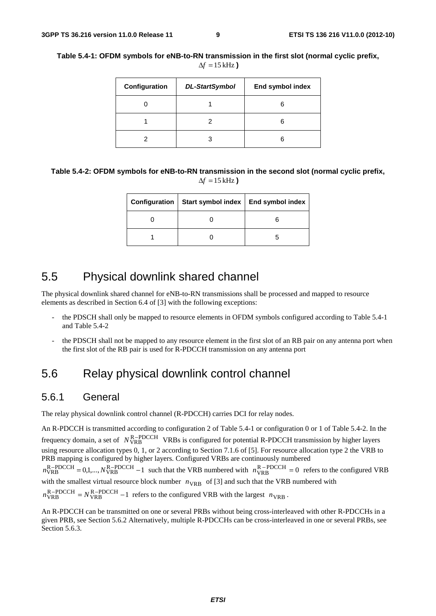| Configuration | <b>DL-StartSymbol</b> | End symbol index |
|---------------|-----------------------|------------------|
|               |                       | 6                |
|               |                       | 6                |
|               |                       | 6                |

#### **Table 5.4-1: OFDM symbols for eNB-to-RN transmission in the first slot (normal cyclic prefix,**   $\Delta f = 15$  kHz)

**Table 5.4-2: OFDM symbols for eNB-to-RN transmission in the second slot (normal cyclic prefix,**   $\Delta f = 15$  kHz)

| Configuration   Start symbol index   End symbol index |  |  |  |  |
|-------------------------------------------------------|--|--|--|--|
|                                                       |  |  |  |  |
|                                                       |  |  |  |  |

#### 5.5 Physical downlink shared channel

The physical downlink shared channel for eNB-to-RN transmissions shall be processed and mapped to resource elements as described in Section 6.4 of [3] with the following exceptions:

- the PDSCH shall only be mapped to resource elements in OFDM symbols configured according to Table 5.4-1 and Table 5.4-2
- the PDSCH shall not be mapped to any resource element in the first slot of an RB pair on any antenna port when the first slot of the RB pair is used for R-PDCCH transmission on any antenna port

#### 5.6 Relay physical downlink control channel

#### 5.6.1 General

The relay physical downlink control channel (R-PDCCH) carries DCI for relay nodes.

An R-PDCCH is transmitted according to configuration 2 of Table 5.4-1 or configuration 0 or 1 of Table 5.4-2. In the frequency domain, a set of  $N_{\text{VRB}}^{\text{R-PDCCH}}$  VRBs is configured for potential R-PDCCH transmission by higher layers using resource allocation types 0, 1, or 2 according to Section 7.1.6 of [5]. For resource allocation type 2 the VRB to PRB mapping is configured by higher layers. Configured VRBs are continuously numbered  $n_{\text{VRB}}^{\text{R-PDCCH}} = 0.1,..., N_{\text{VRB}}^{\text{R-PDCCH}} - 1$  such that the VRB numbered with  $n_{\text{VRB}}^{\text{R-PDCCH}} = 0$  refers to the configured VRB with the smallest virtual resource block number  $n_{VRB}$  of [3] and such that the VRB numbered with  $n_{\text{VRB}}^{\text{R}-\text{PDCCH}}$  =  $N_{\text{VRB}}^{\text{R}-\text{PDCCH}}$  -1 refers to the configured VRB with the largest  $n_{\text{VRB}}$ .

An R-PDCCH can be transmitted on one or several PRBs without being cross-interleaved with other R-PDCCHs in a given PRB, see Section 5.6.2 Alternatively, multiple R-PDCCHs can be cross-interleaved in one or several PRBs, see Section 5.6.3.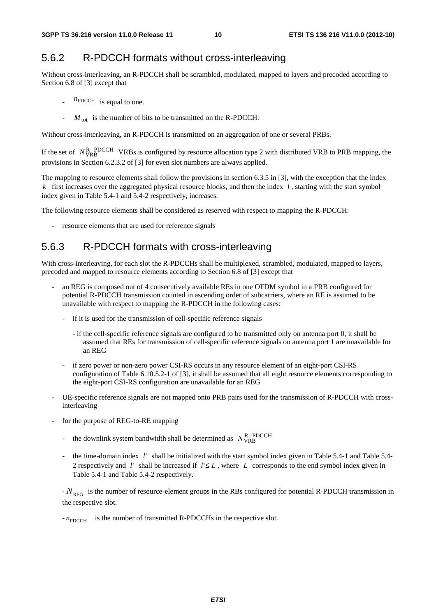#### 5.6.2 R-PDCCH formats without cross-interleaving

Without cross-interleaving, an R-PDCCH shall be scrambled, modulated, mapped to layers and precoded according to Section 6.8 of [3] except that

- $n_{\text{PDCCH}}$  is equal to one.
- $M_{\text{tot}}$  is the number of bits to be transmitted on the R-PDCCH.

Without cross-interleaving, an R-PDCCH is transmitted on an aggregation of one or several PRBs.

If the set of  $N_{\text{VRB}}^{\text{R}-\text{PDCCH}}$  VRBs is configured by resource allocation type 2 with distributed VRB to PRB mapping, the provisions in Section 6.2.3.2 of [3] for even slot numbers are always applied.

The mapping to resource elements shall follow the provisions in section 6.3.5 in [3], with the exception that the index *k* first increases over the aggregated physical resource blocks, and then the index *l* , starting with the start symbol index given in Table 5.4-1 and 5.4-2 respectively, increases.

The following resource elements shall be considered as reserved with respect to mapping the R-PDCCH:

resource elements that are used for reference signals

#### 5.6.3 R-PDCCH formats with cross-interleaving

With cross-interleaving, for each slot the R-PDCCHs shall be multiplexed, scrambled, modulated, mapped to layers, precoded and mapped to resource elements according to Section 6.8 of [3] except that

- an REG is composed out of 4 consecutively available REs in one OFDM symbol in a PRB configured for potential R-PDCCH transmission counted in ascending order of subcarriers, where an RE is assumed to be unavailable with respect to mapping the R-PDCCH in the following cases:
	- if it is used for the transmission of cell-specific reference signals
		- if the cell-specific reference signals are configured to be transmitted only on antenna port 0, it shall be assumed that REs for transmission of cell-specific reference signals on antenna port 1 are unavailable for an REG
	- if zero power or non-zero power CSI-RS occurs in any resource element of an eight-port CSI-RS configuration of Table 6.10.5.2-1 of [3], it shall be assumed that all eight resource elements corresponding to the eight-port CSI-RS configuration are unavailable for an REG
- UE-specific reference signals are not mapped onto PRB pairs used for the transmission of R-PDCCH with crossinterleaving
- for the purpose of REG-to-RE mapping
	- the downlink system bandwidth shall be determined as  $N_{\text{VR}}^{\text{R}-\text{PDCCH}}$
	- the time-domain index ' *l* shall be initialized with the start symbol index given in Table 5.4-1 and Table 5.4- 2 respectively and  $l'$  shall be increased if  $l' \leq L$ , where L corresponds to the end symbol index given in Table 5.4-1 and Table 5.4-2 respectively.

- *N*<sub>REG</sub> is the number of resource-element groups in the RBs configured for potential R-PDCCH transmission in the respective slot.

 $-n_{\text{PDCCH}}$  is the number of transmitted R-PDCCHs in the respective slot.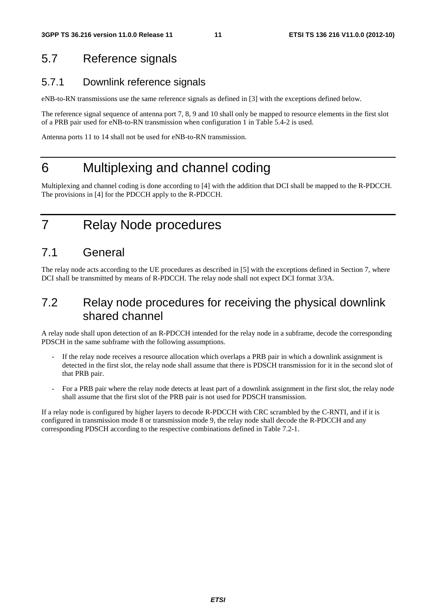### 5.7 Reference signals

#### 5.7.1 Downlink reference signals

eNB-to-RN transmissions use the same reference signals as defined in [3] with the exceptions defined below.

The reference signal sequence of antenna port 7, 8, 9 and 10 shall only be mapped to resource elements in the first slot of a PRB pair used for eNB-to-RN transmission when configuration 1 in Table 5.4-2 is used.

Antenna ports 11 to 14 shall not be used for eNB-to-RN transmission.

### 6 Multiplexing and channel coding

Multiplexing and channel coding is done according to [4] with the addition that DCI shall be mapped to the R-PDCCH. The provisions in [4] for the PDCCH apply to the R-PDCCH.

7 Relay Node procedures

### 7.1 General

The relay node acts according to the UE procedures as described in [5] with the exceptions defined in Section 7, where DCI shall be transmitted by means of R-PDCCH. The relay node shall not expect DCI format 3/3A.

### 7.2 Relay node procedures for receiving the physical downlink shared channel

A relay node shall upon detection of an R-PDCCH intended for the relay node in a subframe, decode the corresponding PDSCH in the same subframe with the following assumptions.

- If the relay node receives a resource allocation which overlaps a PRB pair in which a downlink assignment is detected in the first slot, the relay node shall assume that there is PDSCH transmission for it in the second slot of that PRB pair.
- For a PRB pair where the relay node detects at least part of a downlink assignment in the first slot, the relay node shall assume that the first slot of the PRB pair is not used for PDSCH transmission.

If a relay node is configured by higher layers to decode R-PDCCH with CRC scrambled by the C-RNTI, and if it is configured in transmission mode 8 or transmission mode 9, the relay node shall decode the R-PDCCH and any corresponding PDSCH according to the respective combinations defined in Table 7.2-1.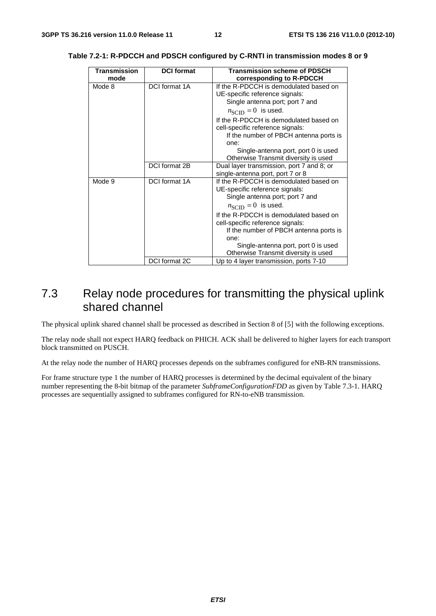| <b>Transmission</b> | <b>DCI</b> format | <b>Transmission scheme of PDSCH</b>                                        |  |
|---------------------|-------------------|----------------------------------------------------------------------------|--|
| mode                |                   | corresponding to R-PDCCH                                                   |  |
| Mode 8              | DCI format 1A     | If the R-PDCCH is demodulated based on                                     |  |
|                     |                   | UE-specific reference signals:                                             |  |
|                     |                   | Single antenna port; port 7 and                                            |  |
|                     |                   | $n_{\text{SCID}} = 0$ is used.                                             |  |
|                     |                   | If the R-PDCCH is demodulated based on<br>cell-specific reference signals: |  |
|                     |                   | If the number of PBCH antenna ports is                                     |  |
|                     |                   | one:                                                                       |  |
|                     |                   | Single-antenna port, port 0 is used                                        |  |
|                     |                   | Otherwise Transmit diversity is used                                       |  |
|                     | DCI format 2B     | Dual layer transmission, port 7 and 8; or                                  |  |
|                     |                   | single-antenna port, port 7 or 8                                           |  |
| Mode 9              | DCI format 1A     | If the R-PDCCH is demodulated based on                                     |  |
|                     |                   | UE-specific reference signals:                                             |  |
|                     |                   | Single antenna port; port 7 and                                            |  |
|                     |                   | $n_{\text{SCID}} = 0$ is used.                                             |  |
|                     |                   | If the R-PDCCH is demodulated based on                                     |  |
|                     |                   | cell-specific reference signals:                                           |  |
|                     |                   | If the number of PBCH antenna ports is                                     |  |
|                     |                   | one:                                                                       |  |
|                     |                   | Single-antenna port, port 0 is used                                        |  |
|                     |                   | Otherwise Transmit diversity is used                                       |  |
|                     | DCI format 2C     | Up to 4 layer transmission, ports 7-10                                     |  |

#### **Table 7.2-1: R-PDCCH and PDSCH configured by C-RNTI in transmission modes 8 or 9**

### 7.3 Relay node procedures for transmitting the physical uplink shared channel

The physical uplink shared channel shall be processed as described in Section 8 of [5] with the following exceptions.

The relay node shall not expect HARQ feedback on PHICH. ACK shall be delivered to higher layers for each transport block transmitted on PUSCH.

At the relay node the number of HARQ processes depends on the subframes configured for eNB-RN transmissions.

For frame structure type 1 the number of HARQ processes is determined by the decimal equivalent of the binary number representing the 8-bit bitmap of the parameter *SubframeConfigurationFDD* as given by Table 7.3-1. HARQ processes are sequentially assigned to subframes configured for RN-to-eNB transmission.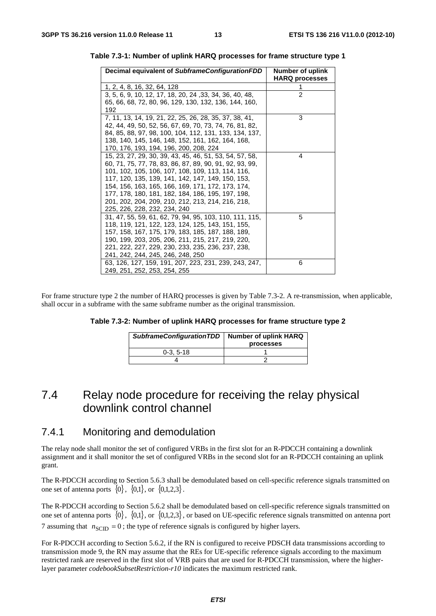| Decimal equivalent of SubframeConfigurationFDD                                    | Number of uplink<br><b>HARQ processes</b> |
|-----------------------------------------------------------------------------------|-------------------------------------------|
| 1, 2, 4, 8, 16, 32, 64, 128                                                       |                                           |
| 3, 5, 6, 9, 10, 12, 17, 18, 20, 24, 33, 34, 36, 40, 48,                           | $\mathfrak{p}$                            |
| 65, 66, 68, 72, 80, 96, 129, 130, 132, 136, 144, 160,                             |                                           |
| 192                                                                               |                                           |
| 7, 11, 13, 14, 19, 21, 22, 25, 26, 28, 35, 37, 38, 41,                            | 3                                         |
| 42, 44, 49, 50, 52, 56, 67, 69, 70, 73, 74, 76, 81, 82,                           |                                           |
| 84, 85, 88, 97, 98, 100, 104, 112, 131, 133, 134, 137,                            |                                           |
| 138, 140, 145, 146, 148, 152, 161, 162, 164, 168,                                 |                                           |
| 170, 176, 193, 194, 196, 200, 208, 224                                            |                                           |
| 15, 23, 27, 29, 30, 39, 43, 45, 46, 51, 53, 54, 57, 58,                           | 4                                         |
| 60, 71, 75, 77, 78, 83, 86, 87, 89, 90, 91, 92, 93, 99,                           |                                           |
| 101, 102, 105, 106, 107, 108, 109, 113, 114, 116,                                 |                                           |
| 117, 120, 135, 139, 141, 142, 147, 149, 150, 153,                                 |                                           |
| 154, 156, 163, 165, 166, 169, 171, 172, 173, 174,                                 |                                           |
| 177, 178, 180, 181, 182, 184, 186, 195, 197, 198,                                 |                                           |
| 201, 202, 204, 209, 210, 212, 213, 214, 216, 218,<br>225, 226, 228, 232, 234, 240 |                                           |
| 31, 47, 55, 59, 61, 62, 79, 94, 95, 103, 110, 111, 115,                           | 5                                         |
| 118, 119, 121, 122, 123, 124, 125, 143, 151, 155,                                 |                                           |
| 157, 158, 167, 175, 179, 183, 185, 187, 188, 189,                                 |                                           |
| 190, 199, 203, 205, 206, 211, 215, 217, 219, 220,                                 |                                           |
| 221, 222, 227, 229, 230, 233, 235, 236, 237, 238,                                 |                                           |
| 241, 242, 244, 245, 246, 248, 250                                                 |                                           |
| 63, 126, 127, 159, 191, 207, 223, 231, 239, 243, 247,                             | 6                                         |
| 249, 251, 252, 253, 254, 255                                                      |                                           |

**Table 7.3-1: Number of uplink HARQ processes for frame structure type 1** 

For frame structure type 2 the number of HARQ processes is given by Table 7.3-2. A re-transmission, when applicable, shall occur in a subframe with the same subframe number as the original transmission.

| Table 7.3-2: Number of uplink HARQ processes for frame structure type 2 |  |  |
|-------------------------------------------------------------------------|--|--|
|-------------------------------------------------------------------------|--|--|

| SubframeConfigurationTDD   Number of uplink HARQ | processes |
|--------------------------------------------------|-----------|
| $0-3.5-18$                                       |           |
|                                                  |           |

### 7.4 Relay node procedure for receiving the relay physical downlink control channel

#### 7.4.1 Monitoring and demodulation

The relay node shall monitor the set of configured VRBs in the first slot for an R-PDCCH containing a downlink assignment and it shall monitor the set of configured VRBs in the second slot for an R-PDCCH containing an uplink grant.

The R-PDCCH according to Section 5.6.3 shall be demodulated based on cell-specific reference signals transmitted on one set of antenna ports  $\{0\}$ ,  $\{0,1\}$ , or  $\{0,1,2,3\}$ .

The R-PDCCH according to Section 5.6.2 shall be demodulated based on cell-specific reference signals transmitted on one set of antenna ports  $\{0\}$ ,  $\{0,1\}$ , or  $\{0,1,2,3\}$ , or based on UE-specific reference signals transmitted on antenna port 7 assuming that  $n_{SCD} = 0$ ; the type of reference signals is configured by higher layers.

For R-PDCCH according to Section 5.6.2, if the RN is configured to receive PDSCH data transmissions according to transmission mode 9, the RN may assume that the REs for UE-specific reference signals according to the maximum restricted rank are reserved in the first slot of VRB pairs that are used for R-PDCCH transmission, where the higherlayer parameter *codebookSubsetRestriction-r10* indicates the maximum restricted rank.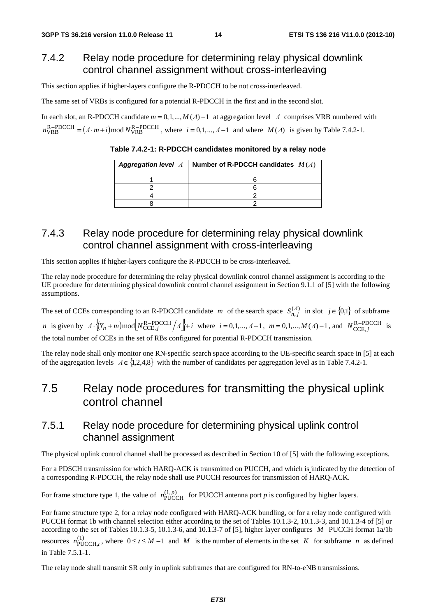#### 7.4.2 Relay node procedure for determining relay physical downlink control channel assignment without cross-interleaving

This section applies if higher-layers configure the R-PDCCH to be not cross-interleaved.

The same set of VRBs is configured for a potential R-PDCCH in the first and in the second slot.

In each slot, an R-PDCCH candidate  $m = 0, 1, ..., M(\Lambda) - 1$  at aggregation level  $\Lambda$  comprises VRB numbered with  $n_{\text{VRB}}^{\text{R}-\text{PDCCH}} = (A \cdot m + i) \text{mod } N_{\text{VRB}}^{\text{R}-\text{PDCCH}}$ , where  $i = 0, 1, ..., A-1$  and where  $M(A)$  is given by Table 7.4.2-1.

*Aggregation level* Λ **Number of R-PDCCH candidates** *<sup>M</sup>* (Λ) 1 6 2 6 4 2 8 2

**Table 7.4.2-1: R-PDCCH candidates monitored by a relay node** 

#### 7.4.3 Relay node procedure for determining relay physical downlink control channel assignment with cross-interleaving

This section applies if higher-layers configure the R-PDCCH to be cross-interleaved.

The relay node procedure for determining the relay physical downlink control channel assignment is according to the UE procedure for determining physical downlink control channel assignment in Section 9.1.1 of [5] with the following assumptions.

The set of CCEs corresponding to an R-PDCCH candidate *m* of the search space  $S_{n,j}^{(A)}$  in slot  $j \in \{0,1\}$  of subframe *n* is given by  $\Lambda \cdot \{(Y_n + m) \mod \left[N_{\text{CCE}, j}^{\text{R-PDCCH}} / \Lambda\right] + i$  where  $i = 0, 1, ..., \Lambda - 1$ ,  $m = 0, 1, ..., M(\Lambda) - 1$ , and  $N_{\text{CCE}, j}^{\text{R-PDCCH}}$  $N_{\text{CCE},j}^{\text{R-PDCCH}}$  is the total number of CCEs in the set of RBs configured for potential R-PDCCH transmission.

The relay node shall only monitor one RN-specific search space according to the UE-specific search space in [5] at each of the aggregation levels  $\Lambda \in \{1,2,4,8\}$  with the number of candidates per aggregation level as in Table 7.4.2-1.

### 7.5 Relay node procedures for transmitting the physical uplink control channel

#### 7.5.1 Relay node procedure for determining physical uplink control channel assignment

The physical uplink control channel shall be processed as described in Section 10 of [5] with the following exceptions.

For a PDSCH transmission for which HARQ-ACK is transmitted on PUCCH, and which is indicated by the detection of a corresponding R-PDCCH, the relay node shall use PUCCH resources for transmission of HARQ-ACK.

For frame structure type 1, the value of  $n_{\text{PUCCH}}^{(1,p)}$  for PUCCH antenna port *p* is configured by higher layers.

For frame structure type 2, for a relay node configured with HARQ-ACK bundling, or for a relay node configured with PUCCH format 1b with channel selection either according to the set of Tables 10.1.3-2, 10.1.3-3, and 10.1.3-4 of [5] or according to the set of Tables 10.1.3-5, 10.1.3-6, and 10.1.3-7 of [5], higher layer configures *M* PUCCH format 1a/1b resources  $n_{\text{PUCCH},l}^{(1)}$ , where  $0 \le t \le M - 1$  and M is the number of elements in the set K for subframe *n* as defined in Table 7.5.1-1.

The relay node shall transmit SR only in uplink subframes that are configured for RN-to-eNB transmissions.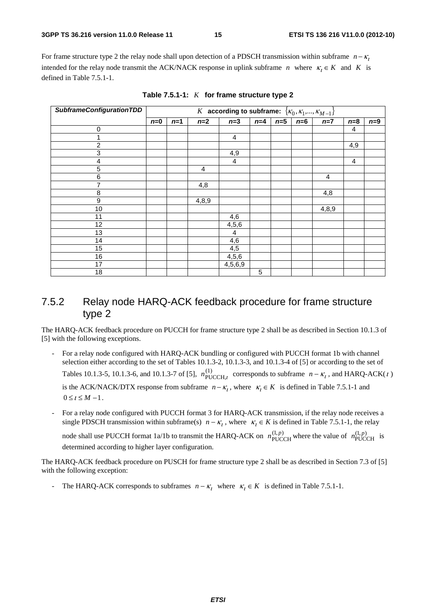For frame structure type 2 the relay node shall upon detection of a PDSCH transmission within subframe  $n - \kappa_l$ intended for the relay node transmit the ACK/NACK response in uplink subframe *n* where  $\kappa_l \in K$  and *K* is defined in Table 7.5.1-1.

| <b>SubframeConfigurationTDD</b> | $\overline{K}$ according to subframe: $\{K_0, K_1, , K_{M-1}\}$ |       |       |                |       |       |       |       |                         |       |
|---------------------------------|-----------------------------------------------------------------|-------|-------|----------------|-------|-------|-------|-------|-------------------------|-------|
|                                 | $n=0$                                                           | $n=1$ | $n=2$ | $n=3$          | $n=4$ | $n=5$ | $n=6$ | $n=7$ | $n=8$                   | $n=9$ |
| $\mathbf 0$                     |                                                                 |       |       |                |       |       |       |       | 4                       |       |
|                                 |                                                                 |       |       | 4              |       |       |       |       |                         |       |
| $\overline{2}$                  |                                                                 |       |       |                |       |       |       |       | 4,9                     |       |
| 3                               |                                                                 |       |       | 4,9            |       |       |       |       |                         |       |
| 4                               |                                                                 |       |       | $\overline{4}$ |       |       |       |       | $\overline{\mathbf{4}}$ |       |
| 5                               |                                                                 |       | 4     |                |       |       |       |       |                         |       |
| 6                               |                                                                 |       |       |                |       |       |       | 4     |                         |       |
| 7                               |                                                                 |       | 4,8   |                |       |       |       |       |                         |       |
| 8                               |                                                                 |       |       |                |       |       |       | 4,8   |                         |       |
| 9                               |                                                                 |       | 4,8,9 |                |       |       |       |       |                         |       |
| 10                              |                                                                 |       |       |                |       |       |       | 4,8,9 |                         |       |
| 11                              |                                                                 |       |       | 4,6            |       |       |       |       |                         |       |
| 12                              |                                                                 |       |       | 4,5,6          |       |       |       |       |                         |       |
| 13                              |                                                                 |       |       | 4              |       |       |       |       |                         |       |
| 14                              |                                                                 |       |       | 4,6            |       |       |       |       |                         |       |
| 15                              |                                                                 |       |       | 4,5            |       |       |       |       |                         |       |
| 16                              |                                                                 |       |       | 4,5,6          |       |       |       |       |                         |       |
| 17                              |                                                                 |       |       | 4,5,6,9        |       |       |       |       |                         |       |
| 18                              |                                                                 |       |       |                | 5     |       |       |       |                         |       |

**Table 7.5.1-1:** *K* **for frame structure type 2** 

#### 7.5.2 Relay node HARQ-ACK feedback procedure for frame structure type 2

The HARQ-ACK feedback procedure on PUCCH for frame structure type 2 shall be as described in Section 10.1.3 of [5] with the following exceptions.

- For a relay node configured with HARQ-ACK bundling or configured with PUCCH format 1b with channel selection either according to the set of Tables 10.1.3-2, 10.1.3-3, and 10.1.3-4 of [5] or according to the set of Tables 10.1.3-5, 10.1.3-6, and 10.1.3-7 of [5],  $n_{\text{PUCCH},t}^{(1)}$  corresponds to subframe  $n - \kappa_t$ , and HARQ-ACK(t) is the ACK/NACK/DTX response from subframe  $n - \kappa_l$ , where  $\kappa_l \in K$  is defined in Table 7.5.1-1 and  $0 \leq t \leq M-1$ .
- For a relay node configured with PUCCH format 3 for HARO-ACK transmission, if the relay node receives a single PDSCH transmission within subframe(s)  $n - \kappa_1$ , where  $\kappa_1 \in K$  is defined in Table 7.5.1-1, the relay

node shall use PUCCH format 1a/1b to transmit the HARQ-ACK on  $n_{\text{PUCCH}}^{(1,p)}$  where the value of  $n_{\text{PUCCH}}^{(1,p)}$  is determined according to higher layer configuration.

The HARQ-ACK feedback procedure on PUSCH for frame structure type 2 shall be as described in Section 7.3 of [5] with the following exception:

- The HARQ-ACK corresponds to subframes  $n - \kappa_i$  where  $\kappa_i \in K$  is defined in Table 7.5.1-1.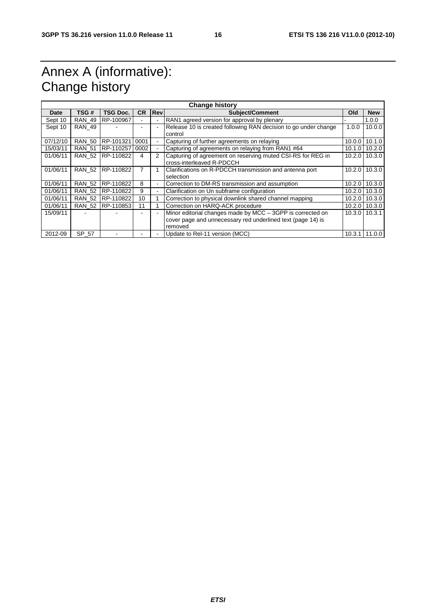# Annex A (informative): Change history

| <b>Change history</b> |               |           |                          |                          |                                                                                          |        |                   |
|-----------------------|---------------|-----------|--------------------------|--------------------------|------------------------------------------------------------------------------------------|--------|-------------------|
| Date                  | TSG #         | TSG Doc.  | <b>CR</b>                | <b>Rev</b>               | <b>Subject/Comment</b>                                                                   |        | <b>New</b>        |
| Sept 10               | <b>RAN 49</b> | RP-100967 | $\overline{\phantom{0}}$ | $\overline{\phantom{a}}$ | RAN1 agreed version for approval by plenary                                              |        | 1.0.0             |
| Sept 10               | <b>RAN 49</b> |           |                          |                          | Release 10 is created following RAN decision to go under change<br>control               | 1.0.0  | 10.0.0            |
| 07/12/10              | <b>RAN 50</b> | RP-101321 | 0001                     | ٠                        | Capturing of further agreements on relaying                                              | 10.0.0 | 10.1.0            |
| 15/03/11              | <b>RAN 51</b> | RP-110257 | 0002                     | $\overline{\phantom{a}}$ | Capturing of agreements on relaying from RAN1 #64                                        |        | $10.1.0$ 10.2.0   |
| 01/06/11              | <b>RAN 52</b> | RP-110822 | 4                        | 2                        | Capturing of agreement on reserving muted CSI-RS for REG in<br>cross-interleaved R-PDCCH |        | $10.2.0$   10.3.0 |
| 01/06/11              | <b>RAN 52</b> | RP-110822 | 7                        |                          | Clarifications on R-PDCCH transmission and antenna port<br>selection                     | 10.2.0 | 10.3.0            |
| 01/06/11              | <b>RAN 52</b> | RP-110822 | 8                        | ٠                        | Correction to DM-RS transmission and assumption                                          | 10.2.0 | 10.3.0            |
| 01/06/11              | <b>RAN 52</b> | RP-110822 | 9                        |                          | Clarification on Un subframe configuration                                               |        | $10.2.0$ 10.3.0   |
| 01/06/11              | <b>RAN 52</b> | RP-110822 | 10                       |                          | Correction to physical downlink shared channel mapping                                   |        | 10.2.0   10.3.0   |
| 01/06/11              | <b>RAN 52</b> | RP-110853 | 11                       |                          | Correction on HARQ-ACK procedure                                                         |        | $10.2.0$ 10.3.0   |
| 15/09/11              |               |           |                          |                          | Minor editorial changes made by MCC - 3GPP is corrected on                               |        | 10.3.0   10.3.1   |
|                       |               |           |                          |                          | cover page and unnecessary red underlined text (page 14) is<br>removed                   |        |                   |
| 2012-09               | SP 57         |           |                          |                          | Update to Rel-11 version (MCC)                                                           | 10.3.1 | 11.0.0            |